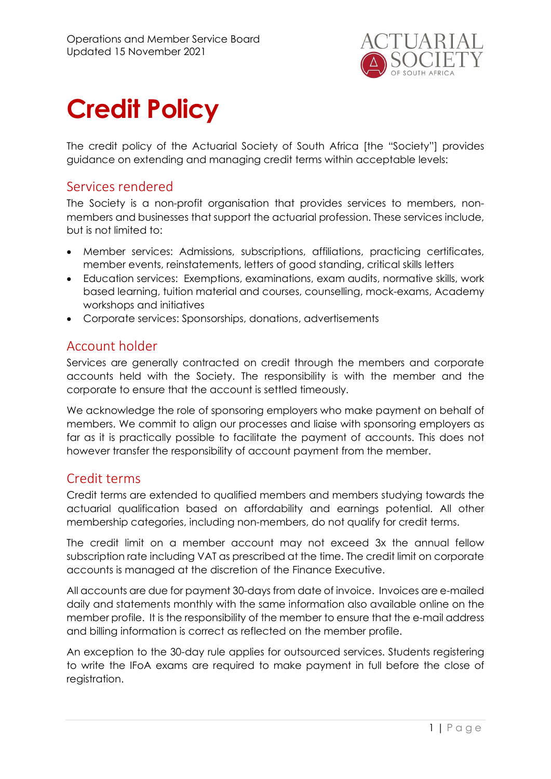

# Credit Policy

The credit policy of the Actuarial Society of South Africa [the "Society"] provides guidance on extending and managing credit terms within acceptable levels:

# Services rendered

The Society is a non-profit organisation that provides services to members, nonmembers and businesses that support the actuarial profession. These services include, but is not limited to:

- Member services: Admissions, subscriptions, affiliations, practicing certificates, member events, reinstatements, letters of good standing, critical skills letters
- Education services: Exemptions, examinations, exam audits, normative skills, work based learning, tuition material and courses, counselling, mock-exams, Academy workshops and initiatives
- Corporate services: Sponsorships, donations, advertisements

# Account holder

Services are generally contracted on credit through the members and corporate accounts held with the Society. The responsibility is with the member and the corporate to ensure that the account is settled timeously.

We acknowledge the role of sponsoring employers who make payment on behalf of members. We commit to align our processes and liaise with sponsoring employers as far as it is practically possible to facilitate the payment of accounts. This does not however transfer the responsibility of account payment from the member.

# Credit terms

Credit terms are extended to qualified members and members studying towards the actuarial qualification based on affordability and earnings potential. All other membership categories, including non-members, do not qualify for credit terms.

The credit limit on a member account may not exceed 3x the annual fellow subscription rate including VAT as prescribed at the time. The credit limit on corporate accounts is managed at the discretion of the Finance Executive.

All accounts are due for payment 30-days from date of invoice. Invoices are e-mailed daily and statements monthly with the same information also available online on the member profile. It is the responsibility of the member to ensure that the e-mail address and billing information is correct as reflected on the member profile.

An exception to the 30-day rule applies for outsourced services. Students registering to write the IFoA exams are required to make payment in full before the close of registration.